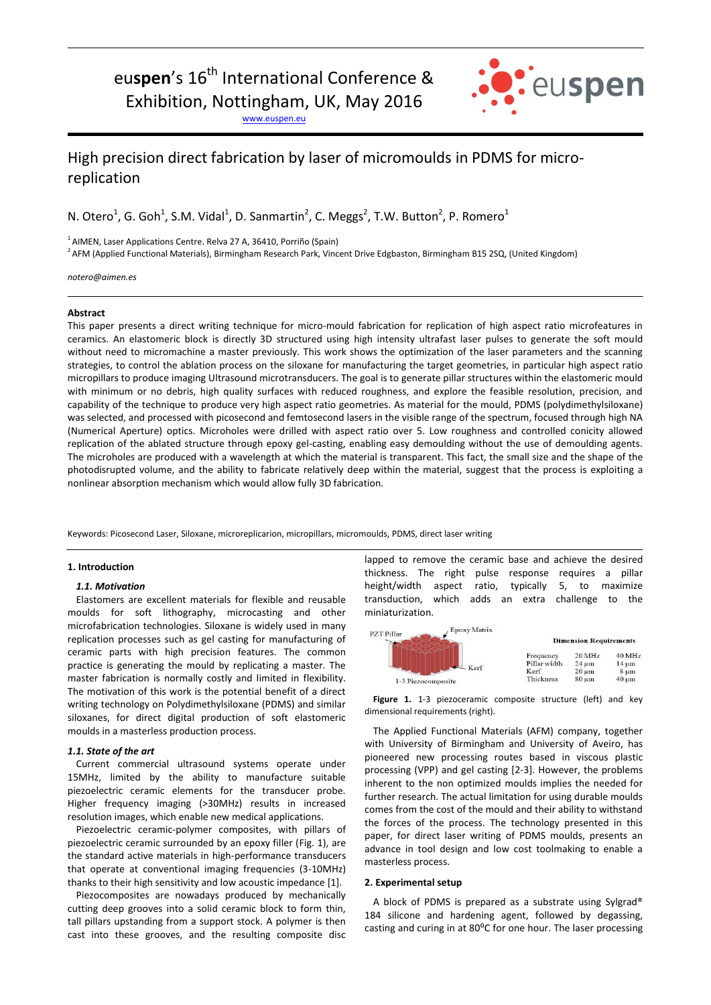# eu**spen**'s 16<sup>th</sup> International Conference & Exhibition, Nottingham, UK, May 2016

[www.euspen.eu](http://www.euspen.eu/)



## High precision direct fabrication by laser of micromoulds in PDMS for microreplication

N. Otero<sup>1</sup>, G. Goh<sup>1</sup>, S.M. Vidal<sup>1</sup>, D. Sanmartin<sup>2</sup>, C. Meggs<sup>2</sup>, T.W. Button<sup>2</sup>, P. Romero<sup>1</sup>

 $1$ AIMEN, Laser Applications Centre. Relva 27 A, 36410, Porriño (Spain)

<sup>2</sup> AFM (Applied Functional Materials), Birmingham Research Park, Vincent Drive Edgbaston, Birmingham B15 2SQ, (United Kingdom)

*notero@aimen.es*

### **Abstract**

This paper presents a direct writing technique for micro-mould fabrication for replication of high aspect ratio microfeatures in ceramics. An elastomeric block is directly 3D structured using high intensity ultrafast laser pulses to generate the soft mould without need to micromachine a master previously. This work shows the optimization of the laser parameters and the scanning strategies, to control the ablation process on the siloxane for manufacturing the target geometries, in particular high aspect ratio micropillars to produce imaging Ultrasound microtransducers. The goal is to generate pillar structures within the elastomeric mould with minimum or no debris, high quality surfaces with reduced roughness, and explore the feasible resolution, precision, and capability of the technique to produce very high aspect ratio geometries. As material for the mould, PDMS (polydimethylsiloxane) was selected, and processed with picosecond and femtosecond lasers in the visible range of the spectrum, focused through high NA (Numerical Aperture) optics. Microholes were drilled with aspect ratio over 5. Low roughness and controlled conicity allowed replication of the ablated structure through epoxy gel-casting, enabling easy demoulding without the use of demoulding agents. The microholes are produced with a wavelength at which the material is transparent. This fact, the small size and the shape of the photodisrupted volume, and the ability to fabricate relatively deep within the material, suggest that the process is exploiting a nonlinear absorption mechanism which would allow fully 3D fabrication.

Keywords: Picosecond Laser, Siloxane, microreplicarion, micropillars, micromoulds, PDMS, direct laser writing

#### **1. Introduction**

#### *1.1. Motivation*

Elastomers are excellent materials for flexible and reusable moulds for soft lithography, microcasting and other microfabrication technologies. Siloxane is widely used in many replication processes such as gel casting for manufacturing of ceramic parts with high precision features. The common practice is generating the mould by replicating a master. The master fabrication is normally costly and limited in flexibility. The motivation of this work is the potential benefit of a direct writing technology on Polydimethylsiloxane (PDMS) and similar siloxanes, for direct digital production of soft elastomeric moulds in a masterless production process.

#### *1.1. State of the art*

Current commercial ultrasound systems operate under 15MHz, limited by the ability to manufacture suitable piezoelectric ceramic elements for the transducer probe. Higher frequency imaging (>30MHz) results in increased resolution images, which enable new medical applications.

Piezoelectric ceramic-polymer composites, with pillars of piezoelectric ceramic surrounded by an epoxy filler (Fig. 1), are the standard active materials in high-performance transducers that operate at conventional imaging frequencies (3-10MHz) thanks to their high sensitivity and low acoustic impedance [1].

Piezocomposites are nowadays produced by mechanically cutting deep grooves into a solid ceramic block to form thin, tall pillars upstanding from a support stock. A polymer is then cast into these grooves, and the resulting composite disc lapped to remove the ceramic base and achieve the desired thickness. The right pulse response requires a pillar height/width aspect ratio, typically 5, to maximize transduction, which adds an extra challenge to the miniaturization.

| Epoxy Matrix<br><b>PZT Pillar</b> |              |                               |            |  |
|-----------------------------------|--------------|-------------------------------|------------|--|
|                                   |              | <b>Dimension Requirements</b> |            |  |
|                                   | Frequency    | 20 MHz                        | 40 MHz     |  |
| $-$ Kerf                          | Pillar width | $24 \text{ µm}$               | $14 \mu m$ |  |
|                                   | Kerf         | $20 \mu m$                    | $8 \mu m$  |  |
| 1-3 Piezocomposite                | Thickness    | $80 \mu m$                    | $40 \mu m$ |  |

Figure 1. 1-3 piezoceramic composite structure (left) and key dimensional requirements (right).

The Applied Functional Materials (AFM) company, together with University of Birmingham and University of Aveiro, has pioneered new processing routes based in viscous plastic processing (VPP) and gel casting [2-3]. However, the problems inherent to the non optimized moulds implies the needed for further research. The actual limitation for using durable moulds comes from the cost of the mould and their ability to withstand the forces of the process. The technology presented in this paper, for direct laser writing of PDMS moulds, presents an advance in tool design and low cost toolmaking to enable a masterless process.

#### **2. Experimental setup**

A block of PDMS is prepared as a substrate using Sylgrad® 184 silicone and hardening agent, followed by degassing, casting and curing in at 80°C for one hour. The laser processing